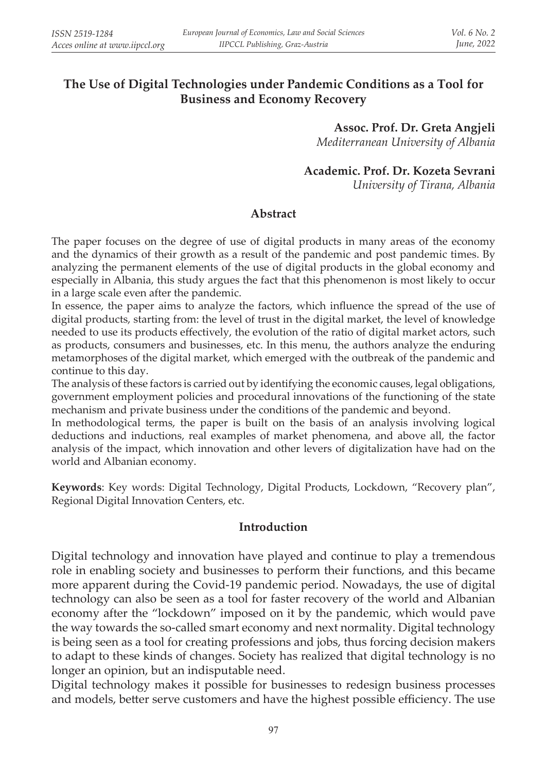# **The Use of Digital Technologies under Pandemic Conditions as a Tool for Business and Economy Recovery**

**Assoc. Prof. Dr. Greta Angjeli** *Mediterranean University of Albania*

#### **Academic. Prof. Dr. Kozeta Sevrani**

*University of Tirana, Albania*

#### **Abstract**

The paper focuses on the degree of use of digital products in many areas of the economy and the dynamics of their growth as a result of the pandemic and post pandemic times. By analyzing the permanent elements of the use of digital products in the global economy and especially in Albania, this study argues the fact that this phenomenon is most likely to occur in a large scale even after the pandemic.

In essence, the paper aims to analyze the factors, which influence the spread of the use of digital products, starting from: the level of trust in the digital market, the level of knowledge needed to use its products effectively, the evolution of the ratio of digital market actors, such as products, consumers and businesses, etc. In this menu, the authors analyze the enduring metamorphoses of the digital market, which emerged with the outbreak of the pandemic and continue to this day.

The analysis of these factors is carried out by identifying the economic causes, legal obligations, government employment policies and procedural innovations of the functioning of the state mechanism and private business under the conditions of the pandemic and beyond.

In methodological terms, the paper is built on the basis of an analysis involving logical deductions and inductions, real examples of market phenomena, and above all, the factor analysis of the impact, which innovation and other levers of digitalization have had on the world and Albanian economy.

**Keywords**: Key words: Digital Technology, Digital Products, Lockdown, "Recovery plan", Regional Digital Innovation Centers, etc.

#### **Introduction**

Digital technology and innovation have played and continue to play a tremendous role in enabling society and businesses to perform their functions, and this became more apparent during the Covid-19 pandemic period. Nowadays, the use of digital technology can also be seen as a tool for faster recovery of the world and Albanian economy after the "lockdown" imposed on it by the pandemic, which would pave the way towards the so-called smart economy and next normality. Digital technology is being seen as a tool for creating professions and jobs, thus forcing decision makers to adapt to these kinds of changes. Society has realized that digital technology is no longer an opinion, but an indisputable need.

Digital technology makes it possible for businesses to redesign business processes and models, better serve customers and have the highest possible efficiency. The use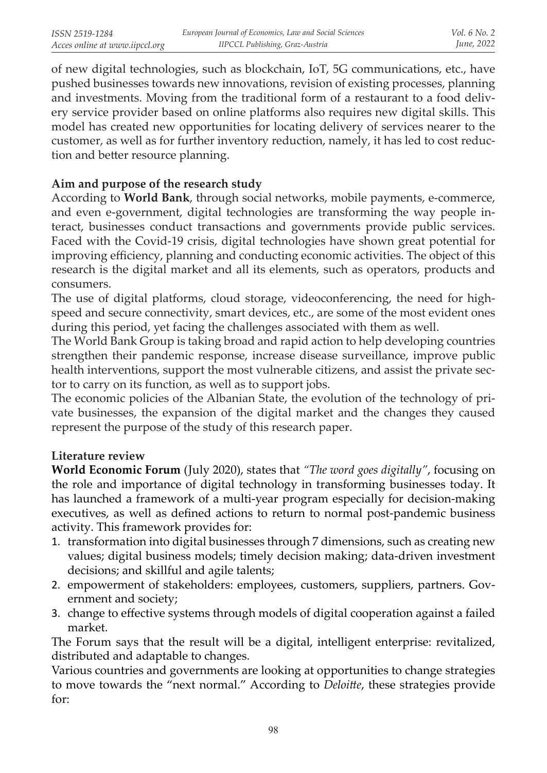of new digital technologies, such as blockchain, IoT, 5G communications, etc., have pushed businesses towards new innovations, revision of existing processes, planning and investments. Moving from the traditional form of a restaurant to a food delivery service provider based on online platforms also requires new digital skills. This model has created new opportunities for locating delivery of services nearer to the customer, as well as for further inventory reduction, namely, it has led to cost reduction and better resource planning.

### **Aim and purpose of the research study**

According to **World Bank**, through social networks, mobile payments, e-commerce, and even e-government, digital technologies are transforming the way people interact, businesses conduct transactions and governments provide public services. Faced with the Covid-19 crisis, digital technologies have shown great potential for improving efficiency, planning and conducting economic activities. The object of this research is the digital market and all its elements, such as operators, products and consumers.

The use of digital platforms, cloud storage, videoconferencing, the need for highspeed and secure connectivity, smart devices, etc., are some of the most evident ones during this period, yet facing the challenges associated with them as well.

The World Bank Group is taking broad and rapid action to help developing countries strengthen their pandemic response, increase disease surveillance, improve public health interventions, support the most vulnerable citizens, and assist the private sector to carry on its function, as well as to support jobs.

The economic policies of the Albanian State, the evolution of the technology of private businesses, the expansion of the digital market and the changes they caused represent the purpose of the study of this research paper.

### **Literature review**

**World Economic Forum** (July 2020), states that *"The word goes digitally"*, focusing on the role and importance of digital technology in transforming businesses today. It has launched a framework of a multi-year program especially for decision-making executives, as well as defined actions to return to normal post-pandemic business activity. This framework provides for:

- 1. transformation into digital businesses through 7 dimensions, such as creating new values; digital business models; timely decision making; data-driven investment decisions; and skillful and agile talents;
- 2. empowerment of stakeholders: employees, customers, suppliers, partners. Government and society;
- 3. change to effective systems through models of digital cooperation against a failed market.

The Forum says that the result will be a digital, intelligent enterprise: revitalized, distributed and adaptable to changes.

Various countries and governments are looking at opportunities to change strategies to move towards the "next normal." According to *Deloitte*, these strategies provide for: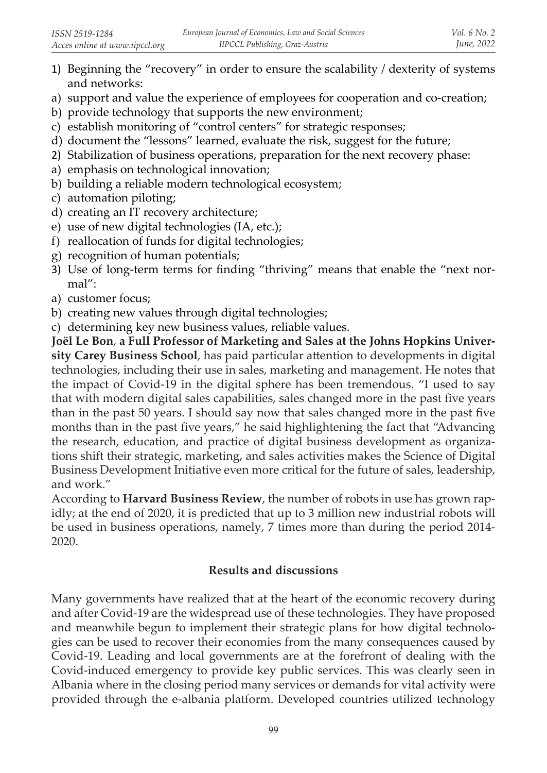- 1) Beginning the "recovery" in order to ensure the scalability / dexterity of systems and networks:
- a) support and value the experience of employees for cooperation and co-creation;
- b) provide technology that supports the new environment;
- c) establish monitoring of "control centers" for strategic responses;
- d) document the "lessons" learned, evaluate the risk, suggest for the future;
- 2) Stabilization of business operations, preparation for the next recovery phase:
- a) emphasis on technological innovation;
- b) building a reliable modern technological ecosystem;
- c) automation piloting;
- d) creating an IT recovery architecture;
- e) use of new digital technologies (IA, etc.);
- f) reallocation of funds for digital technologies;
- g) recognition of human potentials;
- 3) Use of long-term terms for finding "thriving" means that enable the "next normal":
- a) customer focus;
- b) creating new values through digital technologies;
- c) determining key new business values, reliable values.

**Joël Le Bon**, **a Full Professor of Marketing and Sales at the Johns Hopkins University Carey Business School**, has paid particular attention to developments in digital technologies, including their use in sales, marketing and management. He notes that the impact of Covid-19 in the digital sphere has been tremendous. "I used to say that with modern digital sales capabilities, sales changed more in the past five years than in the past 50 years. I should say now that sales changed more in the past five months than in the past five years," he said highlightening the fact that "Advancing the research, education, and practice of digital business development as organizations shift their strategic, marketing, and sales activities makes the Science of Digital Business Development Initiative even more critical for the future of sales, leadership, and work."

According to **Harvard Business Review**, the number of robots in use has grown rapidly; at the end of 2020, it is predicted that up to 3 million new industrial robots will be used in business operations, namely, 7 times more than during the period 2014- 2020.

# **Results and discussions**

Many governments have realized that at the heart of the economic recovery during and after Covid-19 are the widespread use of these technologies. They have proposed and meanwhile begun to implement their strategic plans for how digital technologies can be used to recover their economies from the many consequences caused by Covid-19. Leading and local governments are at the forefront of dealing with the Covid-induced emergency to provide key public services. This was clearly seen in Albania where in the closing period many services or demands for vital activity were provided through the e-albania platform. Developed countries utilized technology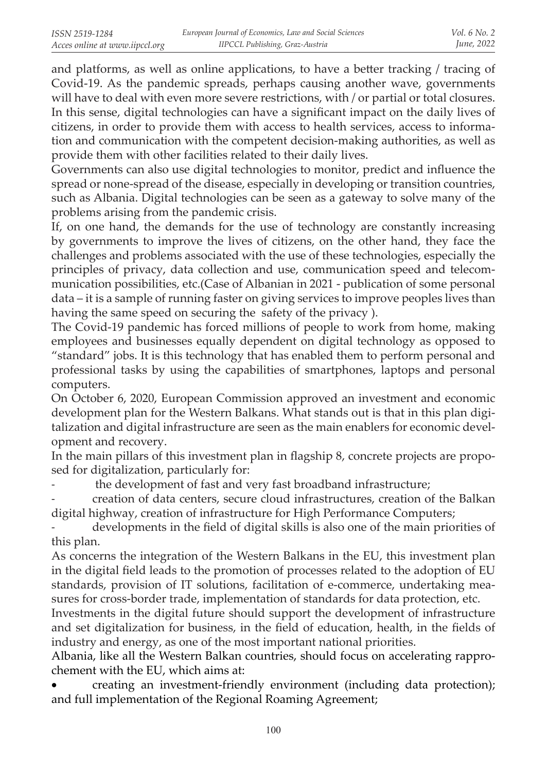and platforms, as well as online applications, to have a better tracking / tracing of Covid-19. As the pandemic spreads, perhaps causing another wave, governments will have to deal with even more severe restrictions, with / or partial or total closures. In this sense, digital technologies can have a significant impact on the daily lives of citizens, in order to provide them with access to health services, access to information and communication with the competent decision-making authorities, as well as provide them with other facilities related to their daily lives.

Governments can also use digital technologies to monitor, predict and influence the spread or none-spread of the disease, especially in developing or transition countries, such as Albania. Digital technologies can be seen as a gateway to solve many of the problems arising from the pandemic crisis.

If, on one hand, the demands for the use of technology are constantly increasing by governments to improve the lives of citizens, on the other hand, they face the challenges and problems associated with the use of these technologies, especially the principles of privacy, data collection and use, communication speed and telecommunication possibilities, etc.(Case of Albanian in 2021 - publication of some personal data – it is a sample of running faster on giving services to improve peoples lives than having the same speed on securing the safety of the privacy ).

The Covid-19 pandemic has forced millions of people to work from home, making employees and businesses equally dependent on digital technology as opposed to "standard" jobs. It is this technology that has enabled them to perform personal and professional tasks by using the capabilities of smartphones, laptops and personal computers.

On October 6, 2020, European Commission approved an investment and economic development plan for the Western Balkans. What stands out is that in this plan digitalization and digital infrastructure are seen as the main enablers for economic development and recovery.

In the main pillars of this investment plan in flagship 8, concrete projects are proposed for digitalization, particularly for:

the development of fast and very fast broadband infrastructure;

- creation of data centers, secure cloud infrastructures, creation of the Balkan digital highway, creation of infrastructure for High Performance Computers;

developments in the field of digital skills is also one of the main priorities of this plan.

As concerns the integration of the Western Balkans in the EU, this investment plan in the digital field leads to the promotion of processes related to the adoption of EU standards, provision of IT solutions, facilitation of e-commerce, undertaking measures for cross-border trade, implementation of standards for data protection, etc.

Investments in the digital future should support the development of infrastructure and set digitalization for business, in the field of education, health, in the fields of industry and energy, as one of the most important national priorities.

Albania, like all the Western Balkan countries, should focus on accelerating rapprochement with the EU, which aims at:

creating an investment-friendly environment (including data protection); and full implementation of the Regional Roaming Agreement;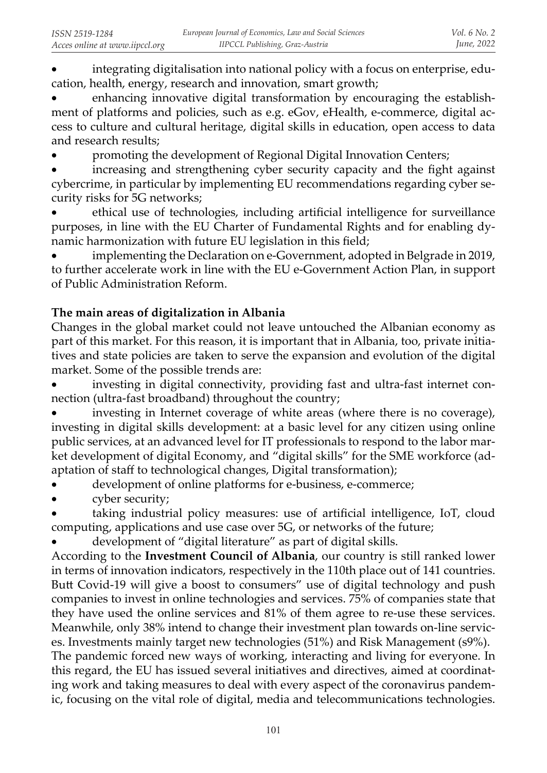integrating digitalisation into national policy with a focus on enterprise, education, health, energy, research and innovation, smart growth;

enhancing innovative digital transformation by encouraging the establishment of platforms and policies, such as e.g. eGov, eHealth, e-commerce, digital access to culture and cultural heritage, digital skills in education, open access to data and research results;

promoting the development of Regional Digital Innovation Centers;

increasing and strengthening cyber security capacity and the fight against cybercrime, in particular by implementing EU recommendations regarding cyber security risks for 5G networks;

ethical use of technologies, including artificial intelligence for surveillance purposes, in line with the EU Charter of Fundamental Rights and for enabling dynamic harmonization with future EU legislation in this field;

implementing the Declaration on e-Government, adopted in Belgrade in 2019, to further accelerate work in line with the EU e-Government Action Plan, in support of Public Administration Reform.

# **The main areas of digitalization in Albania**

Changes in the global market could not leave untouched the Albanian economy as part of this market. For this reason, it is important that in Albania, too, private initiatives and state policies are taken to serve the expansion and evolution of the digital market. Some of the possible trends are:

investing in digital connectivity, providing fast and ultra-fast internet connection (ultra-fast broadband) throughout the country;

investing in Internet coverage of white areas (where there is no coverage), investing in digital skills development: at a basic level for any citizen using online public services, at an advanced level for IT professionals to respond to the labor market development of digital Economy, and "digital skills" for the SME workforce (adaptation of staff to technological changes, Digital transformation);

- development of online platforms for e-business, e-commerce;
- cyber security;

taking industrial policy measures: use of artificial intelligence, IoT, cloud computing, applications and use case over 5G, or networks of the future;

development of "digital literature" as part of digital skills.

According to the **Investment Council of Albania**, our country is still ranked lower in terms of innovation indicators, respectively in the 110th place out of 141 countries. Butt Covid-19 will give a boost to consumers" use of digital technology and push companies to invest in online technologies and services. 75% of companies state that they have used the online services and 81% of them agree to re-use these services. Meanwhile, only 38% intend to change their investment plan towards on-line services. Investments mainly target new technologies (51%) and Risk Management (s9%).

The pandemic forced new ways of working, interacting and living for everyone. In this regard, the EU has issued several initiatives and directives, aimed at coordinating work and taking measures to deal with every aspect of the coronavirus pandemic, focusing on the vital role of digital, media and telecommunications technologies.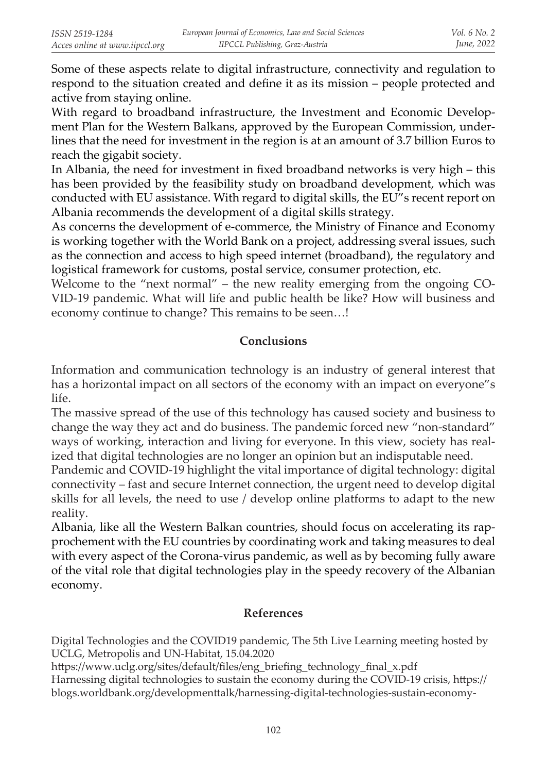Some of these aspects relate to digital infrastructure, connectivity and regulation to respond to the situation created and define it as its mission – people protected and active from staying online.

With regard to broadband infrastructure, the Investment and Economic Development Plan for the Western Balkans, approved by the European Commission, underlines that the need for investment in the region is at an amount of 3.7 billion Euros to reach the gigabit society.

In Albania, the need for investment in fixed broadband networks is very high – this has been provided by the feasibility study on broadband development, which was conducted with EU assistance. With regard to digital skills, the EU"s recent report on Albania recommends the development of a digital skills strategy.

As concerns the development of e-commerce, the Ministry of Finance and Economy is working together with the World Bank on a project, addressing sveral issues, such as the connection and access to high speed internet (broadband), the regulatory and logistical framework for customs, postal service, consumer protection, etc.

Welcome to the "next normal" – the new reality emerging from the ongoing CO-VID-19 pandemic. What will life and public health be like? How will business and economy continue to change? This remains to be seen…!

# **Conclusions**

Information and communication technology is an industry of general interest that has a horizontal impact on all sectors of the economy with an impact on everyone"s life.

The massive spread of the use of this technology has caused society and business to change the way they act and do business. The pandemic forced new "non-standard" ways of working, interaction and living for everyone. In this view, society has realized that digital technologies are no longer an opinion but an indisputable need.

Pandemic and COVID-19 highlight the vital importance of digital technology: digital connectivity – fast and secure Internet connection, the urgent need to develop digital skills for all levels, the need to use / develop online platforms to adapt to the new reality.

Albania, like all the Western Balkan countries, should focus on accelerating its rapprochement with the EU countries by coordinating work and taking measures to deal with every aspect of the Corona-virus pandemic, as well as by becoming fully aware of the vital role that digital technologies play in the speedy recovery of the Albanian economy.

### **References**

Digital Technologies and the COVID19 pandemic, The 5th Live Learning meeting hosted by UCLG, Metropolis and UN-Habitat, 15.04.2020

https://www.uclg.org/sites/default/files/eng\_briefing\_technology\_final\_x.pdf

Harnessing digital technologies to sustain the economy during the COVID-19 crisis, https:// blogs.worldbank.org/developmenttalk/harnessing-digital-technologies-sustain-economy